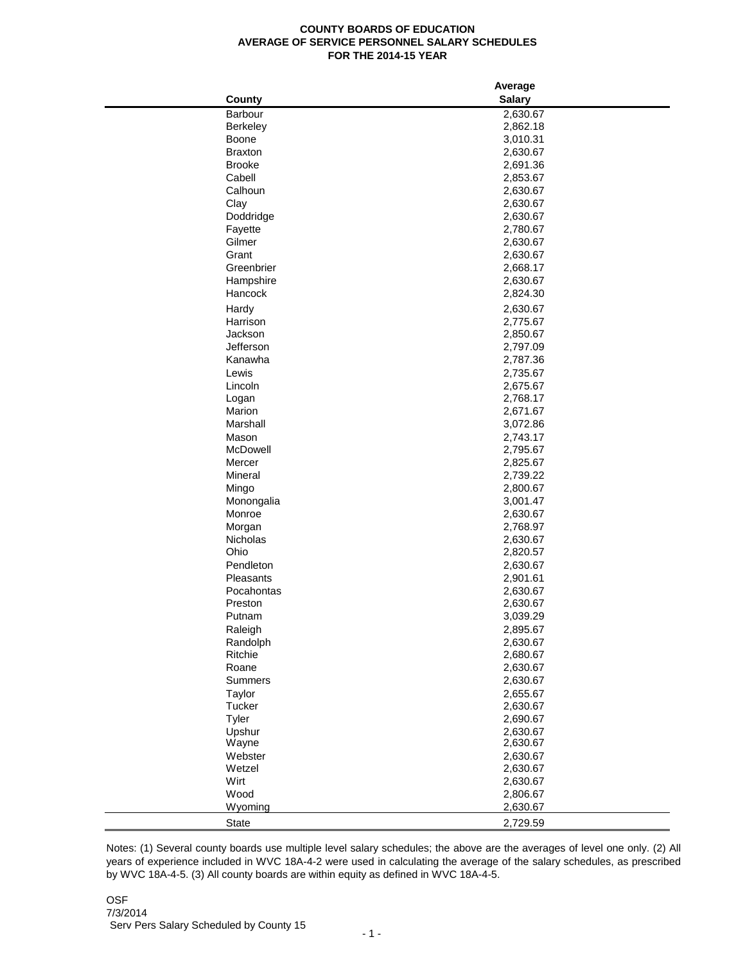## **COUNTY BOARDS OF EDUCATION AVERAGE OF SERVICE PERSONNEL SALARY SCHEDULES FOR THE 2014-15 YEAR**

|                      | Average              |  |
|----------------------|----------------------|--|
| County               | <b>Salary</b>        |  |
| Barbour              | 2,630.67             |  |
| Berkeley             | 2,862.18             |  |
| Boone                | 3,010.31             |  |
| <b>Braxton</b>       | 2,630.67             |  |
| <b>Brooke</b>        | 2,691.36             |  |
| Cabell               | 2,853.67             |  |
| Calhoun              | 2,630.67             |  |
| Clay                 | 2,630.67             |  |
| Doddridge            | 2,630.67             |  |
| Fayette              | 2,780.67             |  |
| Gilmer               | 2,630.67             |  |
| Grant                | 2,630.67             |  |
| Greenbrier           | 2,668.17             |  |
| Hampshire            | 2,630.67             |  |
| Hancock              | 2,824.30             |  |
|                      |                      |  |
| Hardy                | 2,630.67             |  |
| Harrison             | 2,775.67             |  |
| Jackson<br>Jefferson | 2,850.67             |  |
| Kanawha              | 2,797.09<br>2,787.36 |  |
|                      |                      |  |
| Lewis                | 2,735.67             |  |
| Lincoln              | 2,675.67             |  |
| Logan                | 2,768.17             |  |
| Marion               | 2,671.67             |  |
| Marshall             | 3,072.86             |  |
| Mason                | 2,743.17             |  |
| McDowell             | 2,795.67             |  |
| Mercer               | 2,825.67             |  |
| Mineral              | 2,739.22             |  |
| Mingo                | 2,800.67             |  |
| Monongalia           | 3,001.47             |  |
| Monroe               | 2,630.67             |  |
| Morgan               | 2,768.97             |  |
| Nicholas             | 2,630.67             |  |
| Ohio                 | 2,820.57             |  |
| Pendleton            | 2,630.67             |  |
| Pleasants            | 2,901.61             |  |
| Pocahontas           | 2,630.67             |  |
| Preston              | 2,630.67             |  |
| Putnam               | 3,039.29             |  |
| Raleigh              | 2,895.67             |  |
| Randolph             | 2,630.67             |  |
| Ritchie              | 2,680.67             |  |
| Roane                | 2,630.67             |  |
| Summers              | 2,630.67             |  |
| Taylor               | 2,655.67             |  |
| Tucker               | 2,630.67             |  |
| Tyler                | 2,690.67             |  |
| Upshur               | 2,630.67             |  |
| Wayne                | 2,630.67             |  |
| Webster              | 2,630.67             |  |
| Wetzel               | 2,630.67             |  |
| Wirt                 | 2,630.67             |  |
| Wood                 | 2,806.67             |  |
| Wyoming              | 2,630.67             |  |
| State                | 2,729.59             |  |

Notes: (1) Several county boards use multiple level salary schedules; the above are the averages of level one only. (2) All years of experience included in WVC 18A-4-2 were used in calculating the average of the salary schedules, as prescribed by WVC 18A-4-5. (3) All county boards are within equity as defined in WVC 18A-4-5.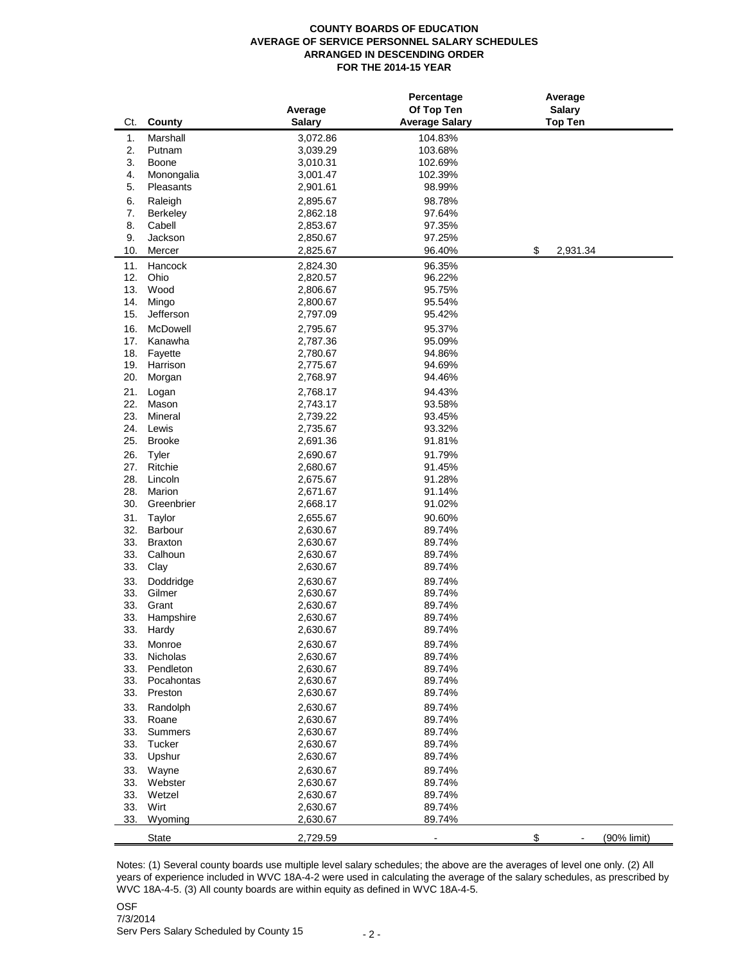## **COUNTY BOARDS OF EDUCATION AVERAGE OF SERVICE PERSONNEL SALARY SCHEDULES ARRANGED IN DESCENDING ORDER FOR THE 2014-15 YEAR**

|            |                         | Average              | Percentage<br>Of Top Ten | Average<br><b>Salary</b> |             |
|------------|-------------------------|----------------------|--------------------------|--------------------------|-------------|
| Ct.        | County                  | <b>Salary</b>        | <b>Average Salary</b>    | <b>Top Ten</b>           |             |
| 1.         | Marshall                | 3,072.86             | 104.83%                  |                          |             |
| 2.         | Putnam                  | 3,039.29             | 103.68%                  |                          |             |
| 3.         | Boone                   | 3,010.31             | 102.69%                  |                          |             |
| 4.         | Monongalia              | 3,001.47             | 102.39%                  |                          |             |
| 5.         | Pleasants               | 2,901.61             | 98.99%                   |                          |             |
| 6.         | Raleigh                 | 2,895.67             | 98.78%                   |                          |             |
| 7.         | <b>Berkeley</b>         | 2,862.18             | 97.64%                   |                          |             |
| 8.         | Cabell                  | 2,853.67             | 97.35%                   |                          |             |
| 9.<br>10.  | Jackson                 | 2,850.67             | 97.25%                   |                          |             |
|            | Mercer                  | 2,825.67             | 96.40%                   | \$                       | 2,931.34    |
| 11.        | Hancock                 | 2,824.30             | 96.35%                   |                          |             |
| 12.        | Ohio                    | 2,820.57             | 96.22%                   |                          |             |
| 13.        | Wood                    | 2,806.67             | 95.75%                   |                          |             |
| 14.<br>15. | Mingo<br>Jefferson      | 2,800.67             | 95.54%                   |                          |             |
|            |                         | 2,797.09             | 95.42%                   |                          |             |
| 16.        | McDowell                | 2,795.67             | 95.37%                   |                          |             |
| 17.        | Kanawha                 | 2,787.36             | 95.09%                   |                          |             |
| 18.        | Fayette                 | 2,780.67             | 94.86%                   |                          |             |
| 19.<br>20. | Harrison                | 2,775.67<br>2,768.97 | 94.69%<br>94.46%         |                          |             |
|            | Morgan                  |                      |                          |                          |             |
| 21.        | Logan                   | 2,768.17             | 94.43%                   |                          |             |
| 22.        | Mason                   | 2,743.17             | 93.58%                   |                          |             |
| 23.        | Mineral                 | 2,739.22             | 93.45%<br>93.32%         |                          |             |
| 24.<br>25. | Lewis<br><b>Brooke</b>  | 2,735.67             |                          |                          |             |
|            |                         | 2,691.36             | 91.81%                   |                          |             |
| 26.        | Tyler                   | 2,690.67             | 91.79%                   |                          |             |
| 27.        | Ritchie                 | 2,680.67             | 91.45%                   |                          |             |
| 28.        | Lincoln                 | 2,675.67             | 91.28%                   |                          |             |
| 28.<br>30. | Marion                  | 2,671.67             | 91.14%                   |                          |             |
|            | Greenbrier              | 2,668.17             | 91.02%                   |                          |             |
| 31.        | Taylor                  | 2,655.67             | 90.60%                   |                          |             |
| 32.        | Barbour                 | 2,630.67             | 89.74%                   |                          |             |
| 33.        | <b>Braxton</b>          | 2,630.67             | 89.74%                   |                          |             |
| 33.<br>33. | Calhoun                 | 2,630.67             | 89.74%<br>89.74%         |                          |             |
|            | Clay                    | 2,630.67             |                          |                          |             |
| 33.        | Doddridge               | 2,630.67             | 89.74%                   |                          |             |
| 33.        | Gilmer                  | 2,630.67             | 89.74%                   |                          |             |
| 33.        | Grant                   | 2,630.67             | 89.74%                   |                          |             |
| 33.<br>33. | Hampshire               | 2,630.67<br>2,630.67 | 89.74%<br>89.74%         |                          |             |
|            | Hardy                   |                      |                          |                          |             |
| 33.        | Monroe                  | 2,630.67             | 89.74%                   |                          |             |
| 33.        | Nicholas                | 2,630.67             | 89.74%                   |                          |             |
| 33.<br>33. | Pendleton<br>Pocahontas | 2,630.67             | 89.74%                   |                          |             |
|            |                         | 2,630.67             | 89.74%                   |                          |             |
| 33.        | Preston                 | 2,630.67             | 89.74%                   |                          |             |
| 33.        | Randolph                | 2,630.67             | 89.74%                   |                          |             |
| 33.        | Roane                   | 2,630.67             | 89.74%                   |                          |             |
| 33.        | Summers                 | 2,630.67             | 89.74%                   |                          |             |
| 33.        | Tucker                  | 2,630.67<br>2,630.67 | 89.74%<br>89.74%         |                          |             |
| 33.        | Upshur                  |                      |                          |                          |             |
| 33.        | Wayne                   | 2,630.67             | 89.74%                   |                          |             |
| 33.        | Webster                 | 2,630.67             | 89.74%                   |                          |             |
| 33.        | Wetzel                  | 2,630.67             | 89.74%                   |                          |             |
| 33.<br>33. | Wirt                    | 2,630.67             | 89.74%                   |                          |             |
|            | Wyoming                 | 2,630.67             | 89.74%                   |                          |             |
|            | <b>State</b>            | 2,729.59             |                          | \$                       | (90% limit) |

Notes: (1) Several county boards use multiple level salary schedules; the above are the averages of level one only. (2) All years of experience included in WVC 18A-4-2 were used in calculating the average of the salary schedules, as prescribed by WVC 18A-4-5. (3) All county boards are within equity as defined in WVC 18A-4-5.